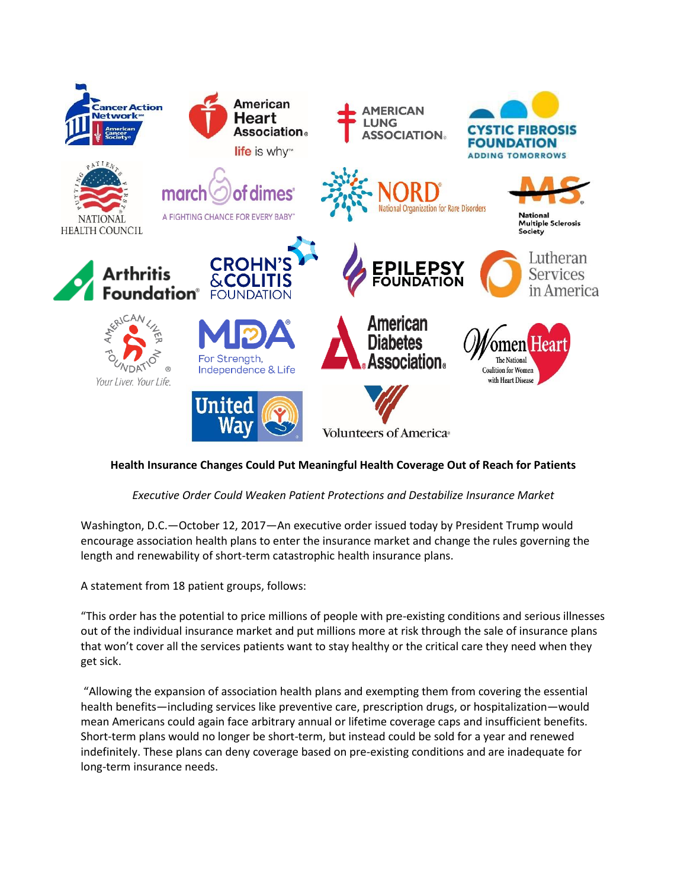

## **Health Insurance Changes Could Put Meaningful Health Coverage Out of Reach for Patients**

## *Executive Order Could Weaken Patient Protections and Destabilize Insurance Market*

Washington, D.C.—October 12, 2017—An executive order issued today by President Trump would encourage association health plans to enter the insurance market and change the rules governing the length and renewability of short-term catastrophic health insurance plans.

A statement from 18 patient groups, follows:

"This order has the potential to price millions of people with pre-existing conditions and serious illnesses out of the individual insurance market and put millions more at risk through the sale of insurance plans that won't cover all the services patients want to stay healthy or the critical care they need when they get sick.

"Allowing the expansion of association health plans and exempting them from covering the essential health benefits—including services like preventive care, prescription drugs, or hospitalization—would mean Americans could again face arbitrary annual or lifetime coverage caps and insufficient benefits. Short-term plans would no longer be short-term, but instead could be sold for a year and renewed indefinitely. These plans can deny coverage based on pre-existing conditions and are inadequate for long-term insurance needs.